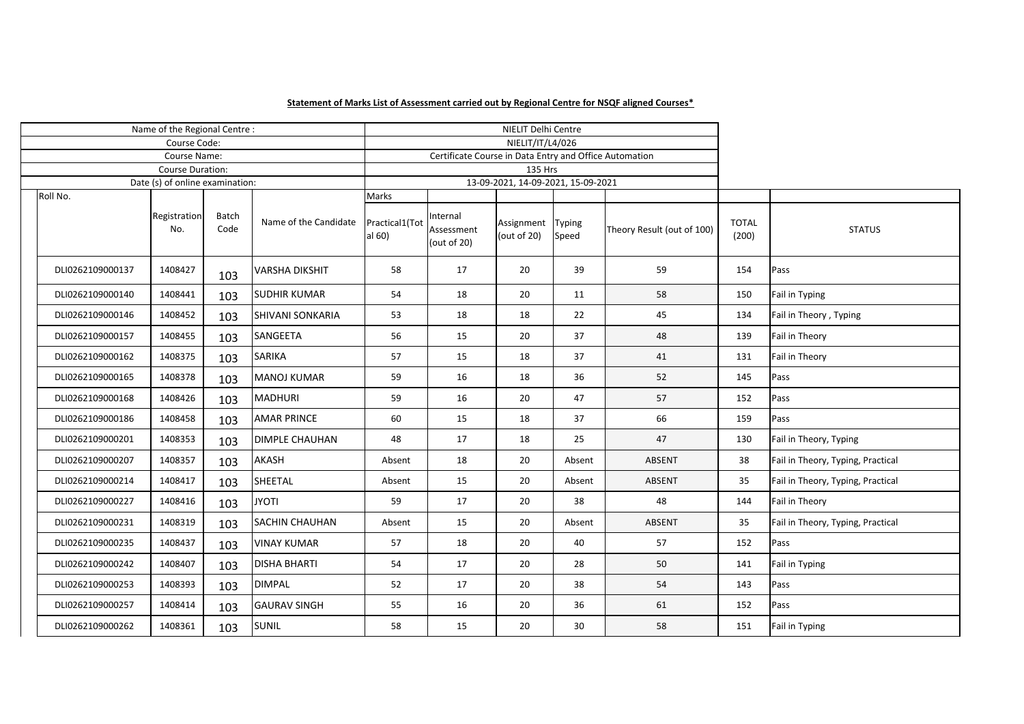## **Statement of Marks List of Assessment carried out by Regional Centre for NSQF aligned Courses\***

| Name of the Regional Centre: |                         |                                 |                      |                         |                          |                                                        | NIELIT Delhi Centre                 |                 |                            |                       |                                   |
|------------------------------|-------------------------|---------------------------------|----------------------|-------------------------|--------------------------|--------------------------------------------------------|-------------------------------------|-----------------|----------------------------|-----------------------|-----------------------------------|
|                              | Course Code:            |                                 |                      |                         |                          |                                                        | NIELIT/IT/L4/026                    |                 |                            |                       |                                   |
| Course Name:                 |                         |                                 |                      |                         |                          | Certificate Course in Data Entry and Office Automation |                                     |                 |                            |                       |                                   |
|                              | <b>Course Duration:</b> |                                 |                      |                         |                          |                                                        | 135 Hrs                             |                 |                            |                       |                                   |
|                              |                         | Date (s) of online examination: |                      |                         |                          |                                                        | 13-09-2021, 14-09-2021, 15-09-2021  |                 |                            |                       |                                   |
|                              | Roll No.                |                                 |                      |                         | Marks                    |                                                        |                                     |                 |                            |                       |                                   |
|                              |                         | Registration<br>No.             | <b>Batch</b><br>Code | Name of the Candidate   | Practical1(Tot<br>al 60) | Internal<br>Assessment<br>(out of 20)                  | Assignment Typing<br>(out of $20$ ) | Speed           | Theory Result (out of 100) | <b>TOTAL</b><br>(200) | <b>STATUS</b>                     |
|                              | DLI0262109000137        | 1408427                         | 103                  | <b>VARSHA DIKSHIT</b>   | 58                       | 17                                                     | 20                                  | 39              | 59                         | 154                   | Pass                              |
|                              | DLI0262109000140        | 1408441                         | 103                  | <b>SUDHIR KUMAR</b>     | 54                       | 18                                                     | 20                                  | 11              | 58                         | 150                   | Fail in Typing                    |
|                              | DLI0262109000146        | 1408452                         | 103                  | <b>SHIVANI SONKARIA</b> | 53                       | 18                                                     | 18                                  | 22              | 45                         | 134                   | Fail in Theory, Typing            |
|                              | DLI0262109000157        | 1408455                         | 103                  | SANGEETA                | 56                       | 15                                                     | 20                                  | 37              | 48                         | 139                   | Fail in Theory                    |
|                              | DLI0262109000162        | 1408375                         | 103                  | <b>SARIKA</b>           | 57                       | 15                                                     | 18                                  | 37              | 41                         | 131                   | Fail in Theory                    |
|                              | DLI0262109000165        | 1408378                         | 103                  | <b>MANOJ KUMAR</b>      | 59                       | 16                                                     | 18                                  | 36              | 52                         | 145                   | Pass                              |
|                              | DLI0262109000168        | 1408426                         | 103                  | <b>MADHURI</b>          | 59                       | 16                                                     | 20                                  | 47              | 57                         | 152                   | Pass                              |
|                              | DLI0262109000186        | 1408458                         | 103                  | <b>AMAR PRINCE</b>      | 60                       | 15                                                     | 18                                  | 37              | 66                         | 159                   | Pass                              |
|                              | DLI0262109000201        | 1408353                         | 103                  | <b>DIMPLE CHAUHAN</b>   | 48                       | 17                                                     | 18                                  | 25              | 47                         | 130                   | Fail in Theory, Typing            |
|                              | DLI0262109000207        | 1408357                         | 103                  | <b>AKASH</b>            | Absent                   | 18                                                     | 20                                  | Absent          | ABSENT                     | 38                    | Fail in Theory, Typing, Practical |
|                              | DLI0262109000214        | 1408417                         | 103                  | SHEETAL                 | Absent                   | 15                                                     | 20                                  | Absent          | ABSENT                     | 35                    | Fail in Theory, Typing, Practical |
|                              | DLI0262109000227        | 1408416                         | 103                  | <b>JYOTI</b>            | 59                       | 17                                                     | 20                                  | 38              | 48                         | 144                   | Fail in Theory                    |
|                              | DLI0262109000231        | 1408319                         | 103                  | <b>SACHIN CHAUHAN</b>   | Absent                   | 15                                                     | 20                                  | Absent          | ABSENT                     | 35                    | Fail in Theory, Typing, Practical |
|                              | DLI0262109000235        | 1408437                         | 103                  | <b>VINAY KUMAR</b>      | 57                       | 18                                                     | 20                                  | 40              | 57                         | 152                   | Pass                              |
|                              | DLI0262109000242        | 1408407                         | 103                  | <b>DISHA BHARTI</b>     | 54                       | 17                                                     | 20                                  | 28              | 50                         | 141                   | Fail in Typing                    |
|                              | DLI0262109000253        | 1408393                         | 103                  | <b>DIMPAL</b>           | 52                       | 17                                                     | 20                                  | 38              | 54                         | 143                   | Pass                              |
|                              | DLI0262109000257        | 1408414                         | 103                  | <b>GAURAV SINGH</b>     | 55                       | 16                                                     | 20                                  | 36              | 61                         | 152                   | Pass                              |
|                              | DLI0262109000262        | 1408361                         | 103                  | SUNIL                   | 58                       | 15                                                     | 20                                  | 30 <sup>°</sup> | 58                         | 151                   | Fail in Typing                    |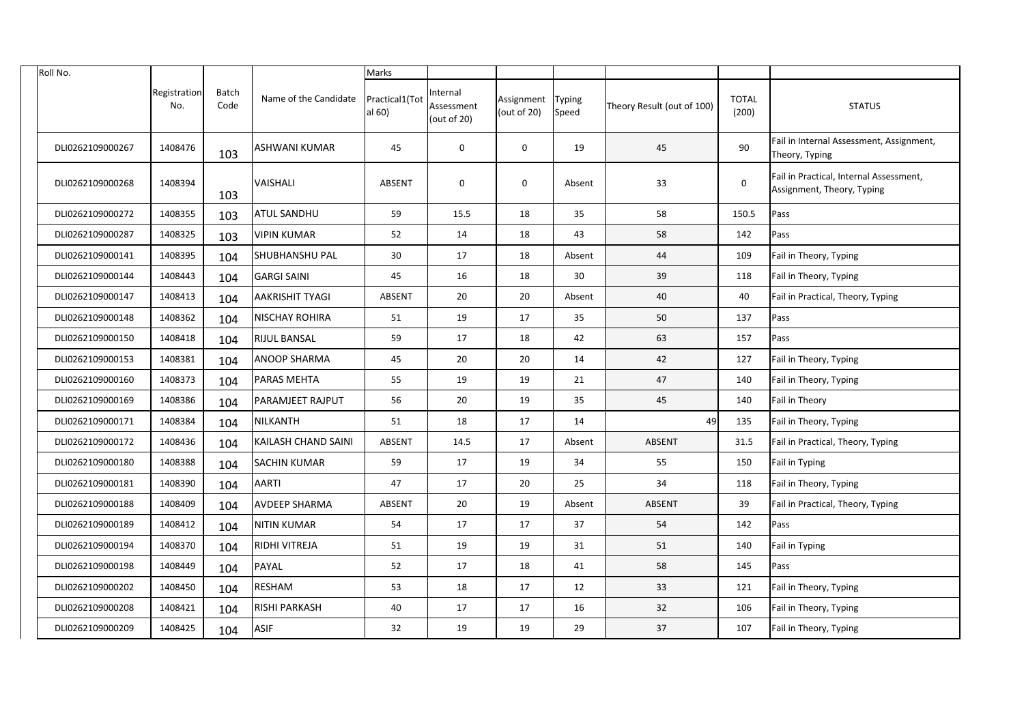| Roll No.         |                     |               |                            | Marks                    |                                       |                                       |        |                            |                       |                                                                       |
|------------------|---------------------|---------------|----------------------------|--------------------------|---------------------------------------|---------------------------------------|--------|----------------------------|-----------------------|-----------------------------------------------------------------------|
|                  | Registration<br>No. | Batch<br>Code | Name of the Candidate      | Practical1(Tot<br>al 60) | Internal<br>Assessment<br>(out of 20) | Assignment   Typing<br>(out of $20$ ) | Speed  | Theory Result (out of 100) | <b>TOTAL</b><br>(200) | <b>STATUS</b>                                                         |
| DLI0262109000267 | 1408476             | 103           | <b>ASHWANI KUMAR</b>       | 45                       | $\mathbf 0$                           | $\mathbf{0}$                          | 19     | 45                         | 90                    | Fail in Internal Assessment, Assignment,<br>Theory, Typing            |
| DLI0262109000268 | 1408394             | 103           | <b>VAISHALI</b>            | <b>ABSENT</b>            | $\mathbf 0$                           | $\mathbf 0$                           | Absent | 33                         | $\mathbf 0$           | Fail in Practical, Internal Assessment,<br>Assignment, Theory, Typing |
| DLI0262109000272 | 1408355             | 103           | <b>ATUL SANDHU</b>         | 59                       | 15.5                                  | 18                                    | 35     | 58                         | 150.5                 | Pass                                                                  |
| DLI0262109000287 | 1408325             | 103           | <b>VIPIN KUMAR</b>         | 52                       | 14                                    | 18                                    | 43     | 58                         | 142                   | Pass                                                                  |
| DLI0262109000141 | 1408395             | 104           | <b>SHUBHANSHU PAL</b>      | 30                       | 17                                    | 18                                    | Absent | 44                         | 109                   | Fail in Theory, Typing                                                |
| DLI0262109000144 | 1408443             | 104           | <b>GARGI SAINI</b>         | 45                       | 16                                    | 18                                    | 30     | 39                         | 118                   | Fail in Theory, Typing                                                |
| DLI0262109000147 | 1408413             | 104           | <b>AAKRISHIT TYAGI</b>     | <b>ABSENT</b>            | 20                                    | 20                                    | Absent | 40                         | 40                    | Fail in Practical, Theory, Typing                                     |
| DLI0262109000148 | 1408362             | 104           | <b>NISCHAY ROHIRA</b>      | 51                       | 19                                    | 17                                    | 35     | 50                         | 137                   | Pass                                                                  |
| DLI0262109000150 | 1408418             | 104           | <b>RIJUL BANSAL</b>        | 59                       | 17                                    | 18                                    | 42     | 63                         | 157                   | Pass                                                                  |
| DLI0262109000153 | 1408381             | 104           | <b>ANOOP SHARMA</b>        | 45                       | 20                                    | 20                                    | 14     | 42                         | 127                   | Fail in Theory, Typing                                                |
| DLI0262109000160 | 1408373             | 104           | <b>PARAS MEHTA</b>         | 55                       | 19                                    | 19                                    | 21     | 47                         | 140                   | Fail in Theory, Typing                                                |
| DLI0262109000169 | 1408386             | 104           | <b>PARAMJEET RAJPUT</b>    | 56                       | 20                                    | 19                                    | 35     | 45                         | 140                   | Fail in Theory                                                        |
| DLI0262109000171 | 1408384             | 104           | NILKANTH                   | 51                       | 18                                    | 17                                    | 14     | 49                         | 135                   | Fail in Theory, Typing                                                |
| DLI0262109000172 | 1408436             | 104           | <b>KAILASH CHAND SAINI</b> | <b>ABSENT</b>            | 14.5                                  | 17                                    | Absent | ABSENT                     | 31.5                  | Fail in Practical, Theory, Typing                                     |
| DLI0262109000180 | 1408388             | 104           | <b>SACHIN KUMAR</b>        | 59                       | 17                                    | 19                                    | 34     | 55                         | 150                   | <b>Fail in Typing</b>                                                 |
| DLI0262109000181 | 1408390             | 104           | <b>AARTI</b>               | 47                       | 17                                    | 20                                    | 25     | 34                         | 118                   | Fail in Theory, Typing                                                |
| DLI0262109000188 | 1408409             | 104           | <b>AVDEEP SHARMA</b>       | ABSENT                   | 20                                    | 19                                    | Absent | ABSENT                     | 39                    | Fail in Practical, Theory, Typing                                     |
| DLI0262109000189 | 1408412             | 104           | NITIN KUMAR                | 54                       | 17                                    | 17                                    | 37     | 54                         | 142                   | Pass                                                                  |
| DLI0262109000194 | 1408370             | 104           | <b>RIDHI VITREJA</b>       | 51                       | 19                                    | 19                                    | 31     | 51                         | 140                   | Fail in Typing                                                        |
| DLI0262109000198 | 1408449             | 104           | PAYAL                      | 52                       | 17                                    | 18                                    | 41     | 58                         | 145                   | Pass                                                                  |
| DLI0262109000202 | 1408450             | 104           | <b>RESHAM</b>              | 53                       | 18                                    | 17                                    | 12     | 33                         | 121                   | Fail in Theory, Typing                                                |
| DLI0262109000208 | 1408421             | 104           | <b>RISHI PARKASH</b>       | 40                       | 17                                    | 17                                    | 16     | 32                         | 106                   | Fail in Theory, Typing                                                |
| DLI0262109000209 | 1408425             | 104           | ASIF                       | 32                       | 19                                    | 19                                    | 29     | 37                         | 107                   | Fail in Theory, Typing                                                |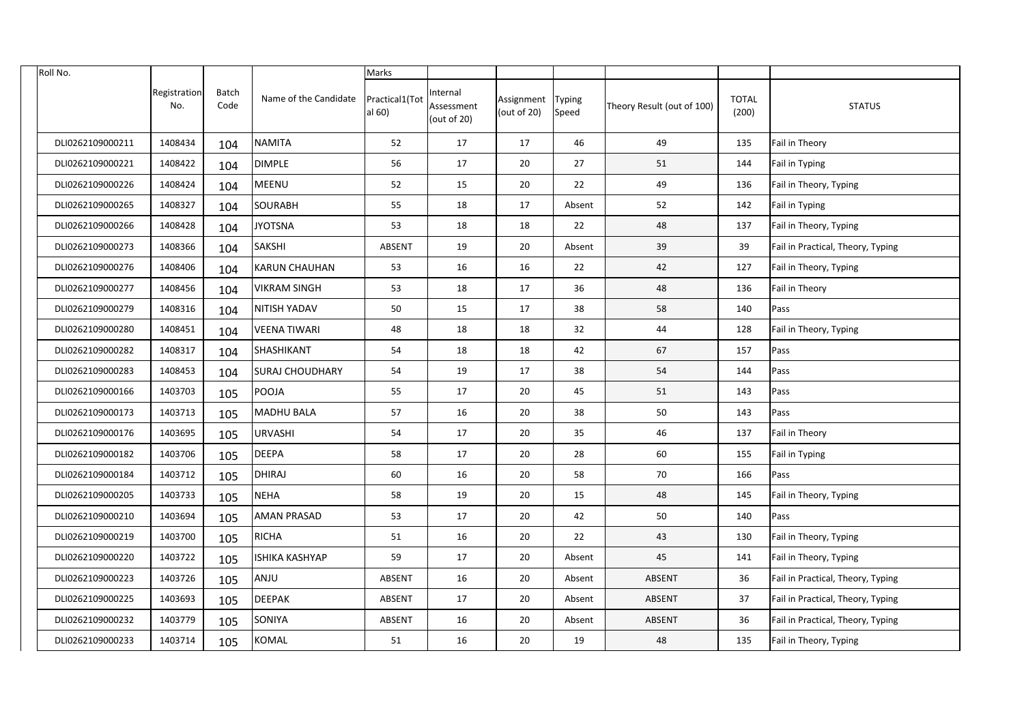| Roll No.         |                     |               |                        | Marks                    |                                       |                              |                        |                            |                       |                                   |
|------------------|---------------------|---------------|------------------------|--------------------------|---------------------------------------|------------------------------|------------------------|----------------------------|-----------------------|-----------------------------------|
|                  | Registration<br>No. | Batch<br>Code | Name of the Candidate  | Practical1(Tot<br>al 60) | Internal<br>Assessment<br>(out of 20) | Assignment<br>(out of $20$ ) | <b>Typing</b><br>Speed | Theory Result (out of 100) | <b>TOTAL</b><br>(200) | <b>STATUS</b>                     |
| DLI0262109000211 | 1408434             | 104           | <b>NAMITA</b>          | 52                       | 17                                    | 17                           | 46                     | 49                         | 135                   | Fail in Theory                    |
| DLI0262109000221 | 1408422             | 104           | <b>DIMPLE</b>          | 56                       | 17                                    | 20                           | 27                     | 51                         | 144                   | <b>Fail in Typing</b>             |
| DLI0262109000226 | 1408424             | 104           | <b>MEENU</b>           | 52                       | 15                                    | 20                           | 22                     | 49                         | 136                   | Fail in Theory, Typing            |
| DLI0262109000265 | 1408327             | 104           | <b>SOURABH</b>         | 55                       | 18                                    | 17                           | Absent                 | 52                         | 142                   | Fail in Typing                    |
| DLI0262109000266 | 1408428             | 104           | <b>JYOTSNA</b>         | 53                       | 18                                    | 18                           | 22                     | 48                         | 137                   | Fail in Theory, Typing            |
| DLI0262109000273 | 1408366             | 104           | <b>SAKSHI</b>          | ABSENT                   | 19                                    | 20                           | Absent                 | 39                         | 39                    | Fail in Practical, Theory, Typing |
| DLI0262109000276 | 1408406             | 104           | <b>KARUN CHAUHAN</b>   | 53                       | 16                                    | 16                           | 22                     | 42                         | 127                   | Fail in Theory, Typing            |
| DLI0262109000277 | 1408456             | 104           | <b>VIKRAM SINGH</b>    | 53                       | 18                                    | 17                           | 36                     | 48                         | 136                   | Fail in Theory                    |
| DLI0262109000279 | 1408316             | 104           | <b>NITISH YADAV</b>    | 50                       | 15                                    | 17                           | 38                     | 58                         | 140                   | Pass                              |
| DLI0262109000280 | 1408451             | 104           | <b>VEENA TIWARI</b>    | 48                       | 18                                    | 18                           | 32                     | 44                         | 128                   | Fail in Theory, Typing            |
| DLI0262109000282 | 1408317             | 104           | SHASHIKANT             | 54                       | 18                                    | 18                           | 42                     | 67                         | 157                   | Pass                              |
| DLI0262109000283 | 1408453             | 104           | <b>SURAJ CHOUDHARY</b> | 54                       | 19                                    | 17                           | 38                     | 54                         | 144                   | Pass                              |
| DLI0262109000166 | 1403703             | 105           | POOJA                  | 55                       | 17                                    | 20                           | 45                     | 51                         | 143                   | Pass                              |
| DLI0262109000173 | 1403713             | 105           | <b>MADHU BALA</b>      | 57                       | 16                                    | 20                           | 38                     | 50                         | 143                   | Pass                              |
| DLI0262109000176 | 1403695             | 105           | <b>URVASHI</b>         | 54                       | 17                                    | 20                           | 35                     | 46                         | 137                   | Fail in Theory                    |
| DLI0262109000182 | 1403706             | 105           | <b>DEEPA</b>           | 58                       | 17                                    | 20                           | 28                     | 60                         | 155                   | <b>Fail in Typing</b>             |
| DLI0262109000184 | 1403712             | 105           | <b>DHIRAJ</b>          | 60                       | 16                                    | 20                           | 58                     | 70                         | 166                   | <b>Pass</b>                       |
| DLI0262109000205 | 1403733             | 105           | <b>NEHA</b>            | 58                       | 19                                    | 20                           | 15                     | 48                         | 145                   | Fail in Theory, Typing            |
| DLI0262109000210 | 1403694             | 105           | <b>AMAN PRASAD</b>     | 53                       | 17                                    | 20                           | 42                     | 50                         | 140                   | Pass                              |
| DLI0262109000219 | 1403700             | 105           | <b>RICHA</b>           | 51                       | 16                                    | 20                           | 22                     | 43                         | 130                   | Fail in Theory, Typing            |
| DLI0262109000220 | 1403722             | 105           | ISHIKA KASHYAP         | 59                       | 17                                    | 20                           | Absent                 | 45                         | 141                   | Fail in Theory, Typing            |
| DLI0262109000223 | 1403726             | 105           | <b>ANJU</b>            | ABSENT                   | 16                                    | 20                           | Absent                 | ABSENT                     | 36                    | Fail in Practical, Theory, Typing |
| DLI0262109000225 | 1403693             | 105           | <b>DEEPAK</b>          | ABSENT                   | 17                                    | 20                           | Absent                 | ABSENT                     | 37                    | Fail in Practical, Theory, Typing |
| DLI0262109000232 | 1403779             | 105           | SONIYA                 | ABSENT                   | 16                                    | 20                           | Absent                 | ABSENT                     | 36                    | Fail in Practical, Theory, Typing |
| DLI0262109000233 | 1403714             | 105           | <b>KOMAL</b>           | 51                       | 16                                    | $20\,$                       | 19                     | 48                         | 135                   | Fail in Theory, Typing            |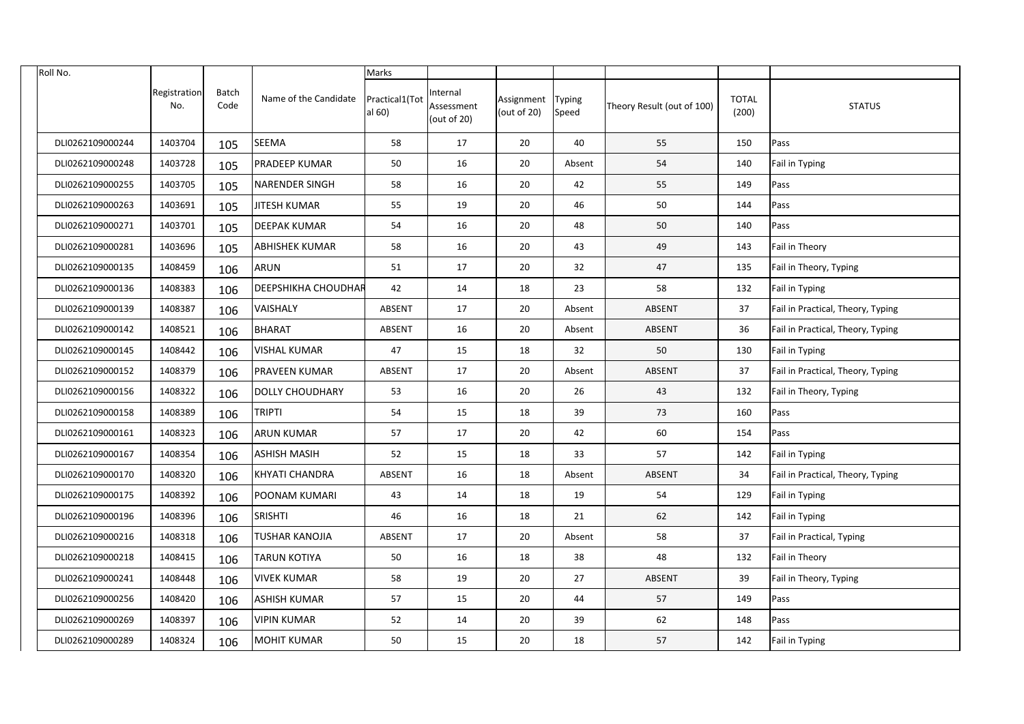| Roll No.         |                     |               |                            | Marks                    |                                       |                           |                 |                            |                       |                                   |
|------------------|---------------------|---------------|----------------------------|--------------------------|---------------------------------------|---------------------------|-----------------|----------------------------|-----------------------|-----------------------------------|
|                  | Registration<br>No. | Batch<br>Code | Name of the Candidate      | Practical1(Tot<br>al 60) | Internal<br>Assessment<br>(out of 20) | Assignment<br>(out of 20) | Typing<br>Speed | Theory Result (out of 100) | <b>TOTAL</b><br>(200) | <b>STATUS</b>                     |
| DLI0262109000244 | 1403704             | 105           | <b>SEEMA</b>               | 58                       | 17                                    | 20                        | 40              | 55                         | 150                   | Pass                              |
| DLI0262109000248 | 1403728             | 105           | <b>PRADEEP KUMAR</b>       | 50                       | 16                                    | 20                        | Absent          | 54                         | 140                   | Fail in Typing                    |
| DLI0262109000255 | 1403705             | 105           | <b>NARENDER SINGH</b>      | 58                       | 16                                    | 20                        | 42              | 55                         | 149                   | Pass                              |
| DLI0262109000263 | 1403691             | 105           | <b>JITESH KUMAR</b>        | 55                       | 19                                    | 20                        | 46              | 50                         | 144                   | Pass                              |
| DLI0262109000271 | 1403701             | 105           | <b>DEEPAK KUMAR</b>        | 54                       | 16                                    | 20                        | 48              | 50                         | 140                   | Pass                              |
| DLI0262109000281 | 1403696             | 105           | <b>ABHISHEK KUMAR</b>      | 58                       | 16                                    | 20                        | 43              | 49                         | 143                   | Fail in Theory                    |
| DLI0262109000135 | 1408459             | 106           | <b>ARUN</b>                | 51                       | 17                                    | 20                        | 32              | 47                         | 135                   | Fail in Theory, Typing            |
| DLI0262109000136 | 1408383             | 106           | <b>DEEPSHIKHA CHOUDHAR</b> | 42                       | 14                                    | 18                        | 23              | 58                         | 132                   | Fail in Typing                    |
| DLI0262109000139 | 1408387             | 106           | <b>VAISHALY</b>            | ABSENT                   | 17                                    | 20                        | Absent          | ABSENT                     | 37                    | Fail in Practical, Theory, Typing |
| DLI0262109000142 | 1408521             | 106           | <b>BHARAT</b>              | ABSENT                   | 16                                    | 20                        | Absent          | ABSENT                     | 36                    | Fail in Practical, Theory, Typing |
| DLI0262109000145 | 1408442             | 106           | <b>VISHAL KUMAR</b>        | 47                       | 15                                    | 18                        | 32              | 50                         | 130                   | Fail in Typing                    |
| DLI0262109000152 | 1408379             | 106           | PRAVEEN KUMAR              | ABSENT                   | 17                                    | 20                        | Absent          | ABSENT                     | 37                    | Fail in Practical, Theory, Typing |
| DLI0262109000156 | 1408322             | 106           | <b>DOLLY CHOUDHARY</b>     | 53                       | 16                                    | 20                        | 26              | 43                         | 132                   | Fail in Theory, Typing            |
| DLI0262109000158 | 1408389             | 106           | <b>TRIPTI</b>              | 54                       | 15                                    | 18                        | 39              | 73                         | 160                   | Pass                              |
| DLI0262109000161 | 1408323             | 106           | <b>ARUN KUMAR</b>          | 57                       | 17                                    | 20                        | 42              | 60                         | 154                   | Pass                              |
| DLI0262109000167 | 1408354             | 106           | <b>ASHISH MASIH</b>        | 52                       | 15                                    | 18                        | 33              | 57                         | 142                   | Fail in Typing                    |
| DLI0262109000170 | 1408320             | 106           | <b>KHYATI CHANDRA</b>      | ABSENT                   | 16                                    | 18                        | Absent          | ABSENT                     | 34                    | Fail in Practical, Theory, Typing |
| DLI0262109000175 | 1408392             | 106           | <b>POONAM KUMARI</b>       | 43                       | 14                                    | 18                        | 19              | 54                         | 129                   | Fail in Typing                    |
| DLI0262109000196 | 1408396             | 106           | <b>SRISHTI</b>             | 46                       | 16                                    | 18                        | 21              | 62                         | 142                   | Fail in Typing                    |
| DLI0262109000216 | 1408318             | 106           | <b>TUSHAR KANOJIA</b>      | ABSENT                   | 17                                    | 20                        | Absent          | 58                         | 37                    | Fail in Practical, Typing         |
| DLI0262109000218 | 1408415             | 106           | TARUN KOTIYA               | 50                       | 16                                    | 18                        | 38              | 48                         | 132                   | Fail in Theory                    |
| DLI0262109000241 | 1408448             | 106           | <b>VIVEK KUMAR</b>         | 58                       | 19                                    | 20                        | 27              | ABSENT                     | 39                    | Fail in Theory, Typing            |
| DLI0262109000256 | 1408420             | 106           | <b>ASHISH KUMAR</b>        | 57                       | 15                                    | 20                        | 44              | 57                         | 149                   | Pass                              |
| DLI0262109000269 | 1408397             | 106           | <b>VIPIN KUMAR</b>         | 52                       | 14                                    | 20                        | 39              | 62                         | 148                   | Pass                              |
| DLI0262109000289 | 1408324             | 106           | <b>MOHIT KUMAR</b>         | 50                       | 15                                    | $20\,$                    | 18              | 57                         | 142                   | Fail in Typing                    |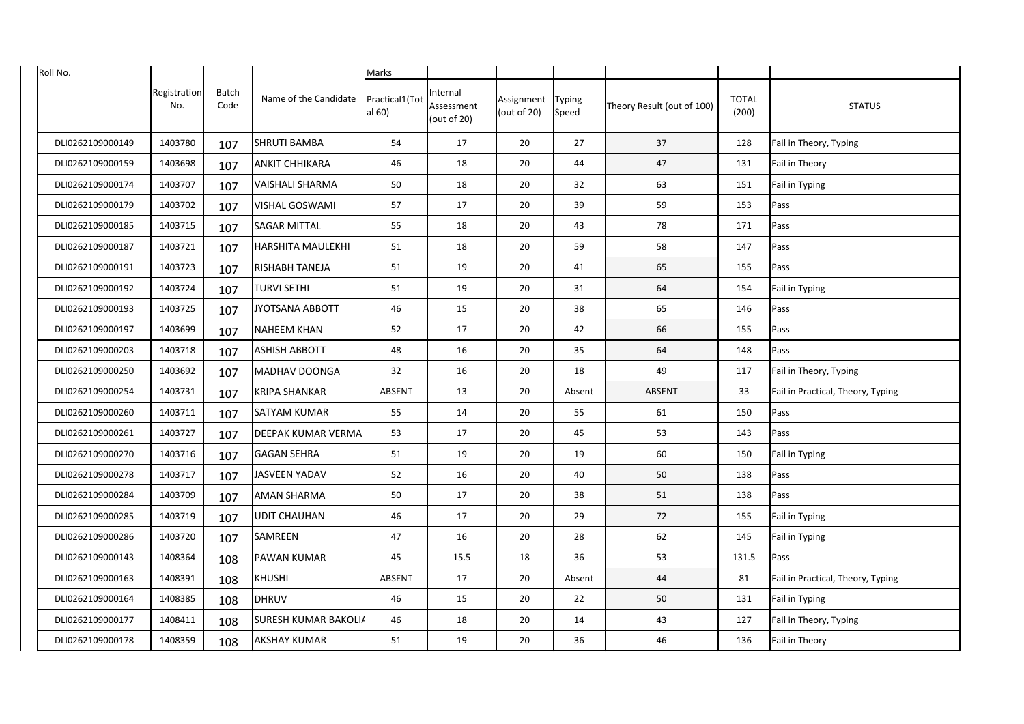| Roll No.         |                     |               |                             | Marks                    |                                      |                                     |        |                            |                       |                                   |
|------------------|---------------------|---------------|-----------------------------|--------------------------|--------------------------------------|-------------------------------------|--------|----------------------------|-----------------------|-----------------------------------|
|                  | Registration<br>No. | Batch<br>Code | Name of the Candidate       | Practical1(Tot<br>al 60) | nternal<br>Assessment<br>(out of 20) | Assignment Typing<br>(out of $20$ ) | Speed  | Theory Result (out of 100) | <b>TOTAL</b><br>(200) | <b>STATUS</b>                     |
| DLI0262109000149 | 1403780             | 107           | <b>SHRUTI BAMBA</b>         | 54                       | 17                                   | 20                                  | 27     | 37                         | 128                   | Fail in Theory, Typing            |
| DLI0262109000159 | 1403698             | 107           | <b>ANKIT CHHIKARA</b>       | 46                       | 18                                   | 20                                  | 44     | 47                         | 131                   | Fail in Theory                    |
| DLI0262109000174 | 1403707             | 107           | VAISHALI SHARMA             | 50                       | 18                                   | 20                                  | 32     | 63                         | 151                   | Fail in Typing                    |
| DLI0262109000179 | 1403702             | 107           | <b>VISHAL GOSWAMI</b>       | 57                       | 17                                   | 20                                  | 39     | 59                         | 153                   | Pass                              |
| DLI0262109000185 | 1403715             | 107           | <b>SAGAR MITTAL</b>         | 55                       | 18                                   | 20                                  | 43     | 78                         | 171                   | Pass                              |
| DLI0262109000187 | 1403721             | 107           | <b>HARSHITA MAULEKHI</b>    | 51                       | 18                                   | 20                                  | 59     | 58                         | 147                   | Pass                              |
| DLI0262109000191 | 1403723             | 107           | <b>RISHABH TANEJA</b>       | 51                       | 19                                   | 20                                  | 41     | 65                         | 155                   | Pass                              |
| DLI0262109000192 | 1403724             | 107           | <b>TURVI SETHI</b>          | 51                       | 19                                   | 20                                  | 31     | 64                         | 154                   | <b>Fail in Typing</b>             |
| DLI0262109000193 | 1403725             | 107           | JYOTSANA ABBOTT             | 46                       | 15                                   | 20                                  | 38     | 65                         | 146                   | Pass                              |
| DLI0262109000197 | 1403699             | 107           | <b>NAHEEM KHAN</b>          | 52                       | 17                                   | 20                                  | 42     | 66                         | 155                   | Pass                              |
| DLI0262109000203 | 1403718             | 107           | <b>ASHISH ABBOTT</b>        | 48                       | 16                                   | 20                                  | 35     | 64                         | 148                   | Pass                              |
| DLI0262109000250 | 1403692             | 107           | MADHAV DOONGA               | 32                       | 16                                   | 20                                  | 18     | 49                         | 117                   | Fail in Theory, Typing            |
| DLI0262109000254 | 1403731             | 107           | <b>KRIPA SHANKAR</b>        | ABSENT                   | 13                                   | 20                                  | Absent | ABSENT                     | 33                    | Fail in Practical, Theory, Typing |
| DLI0262109000260 | 1403711             | 107           | <b>SATYAM KUMAR</b>         | 55                       | 14                                   | 20                                  | 55     | 61                         | 150                   | Pass                              |
| DLI0262109000261 | 1403727             | 107           | <b>DEEPAK KUMAR VERMA</b>   | 53                       | 17                                   | 20                                  | 45     | 53                         | 143                   | Pass                              |
| DLI0262109000270 | 1403716             | 107           | <b>GAGAN SEHRA</b>          | 51                       | 19                                   | 20                                  | 19     | 60                         | 150                   | <b>Fail in Typing</b>             |
| DLI0262109000278 | 1403717             | 107           | JASVEEN YADAV               | 52                       | 16                                   | 20                                  | 40     | 50                         | 138                   | [Pass                             |
| DLI0262109000284 | 1403709             | 107           | <b>AMAN SHARMA</b>          | 50                       | 17                                   | 20                                  | 38     | 51                         | 138                   | Pass                              |
| DLI0262109000285 | 1403719             | 107           | <b>UDIT CHAUHAN</b>         | 46                       | 17                                   | 20                                  | 29     | 72                         | 155                   | <b>Fail in Typing</b>             |
| DLI0262109000286 | 1403720             | 107           | SAMREEN                     | 47                       | 16                                   | 20                                  | 28     | 62                         | 145                   | Fail in Typing                    |
| DLI0262109000143 | 1408364             | 108           | <b>PAWAN KUMAR</b>          | 45                       | 15.5                                 | 18                                  | 36     | 53                         | 131.5                 | Pass                              |
| DLI0262109000163 | 1408391             | 108           | KHUSHI                      | ABSENT                   | 17                                   | 20                                  | Absent | 44                         | 81                    | Fail in Practical, Theory, Typing |
| DLI0262109000164 | 1408385             | 108           | DHRUV                       | 46                       | 15                                   | 20                                  | 22     | 50                         | 131                   | Fail in Typing                    |
| DLI0262109000177 | 1408411             | 108           | <b>SURESH KUMAR BAKOLIA</b> | 46                       | 18                                   | 20                                  | 14     | 43                         | 127                   | Fail in Theory, Typing            |
| DLI0262109000178 | 1408359             | 108           | <b>AKSHAY KUMAR</b>         | 51                       | 19                                   | 20                                  | 36     | 46                         | 136                   | Fail in Theory                    |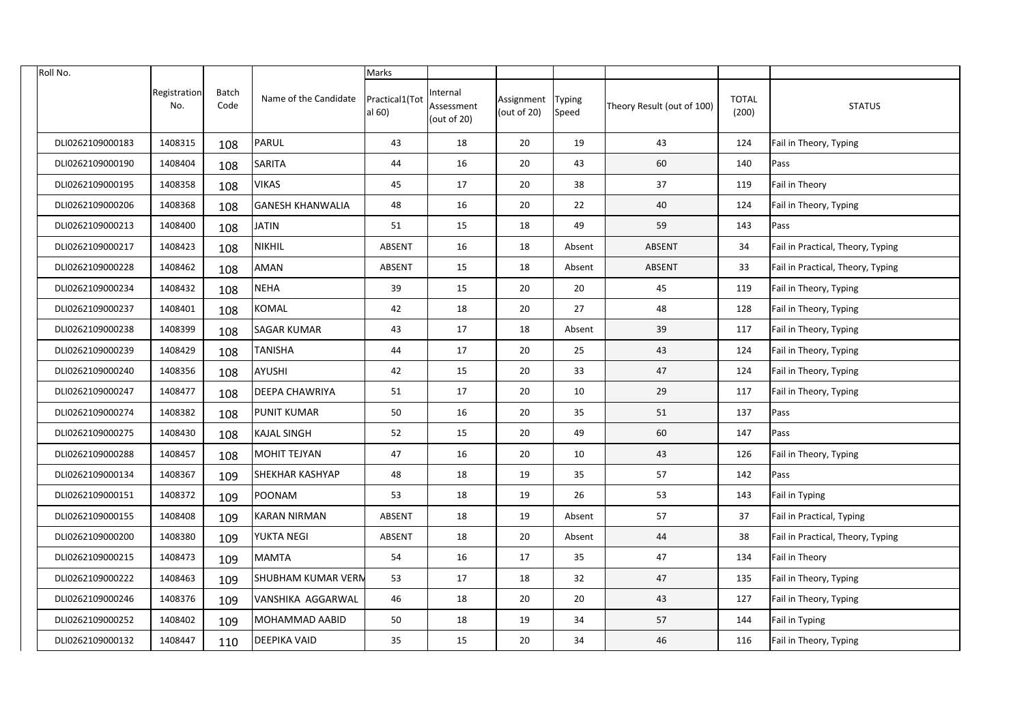| Roll No.         |                     |               |                           | <b>Marks</b>             |                                      |                           |                 |                            |                       |                                   |
|------------------|---------------------|---------------|---------------------------|--------------------------|--------------------------------------|---------------------------|-----------------|----------------------------|-----------------------|-----------------------------------|
|                  | Registration<br>No. | Batch<br>Code | Name of the Candidate     | Practical1(Tot<br>al 60) | nternal<br>Assessment<br>(out of 20) | Assignment<br>(out of 20) | Typing<br>Speed | Theory Result (out of 100) | <b>TOTAL</b><br>(200) | <b>STATUS</b>                     |
| DLI0262109000183 | 1408315             | 108           | PARUL                     | 43                       | 18                                   | 20                        | 19              | 43                         | 124                   | Fail in Theory, Typing            |
| DLI0262109000190 | 1408404             | 108           | SARITA                    | 44                       | 16                                   | 20                        | 43              | 60                         | 140                   | Pass                              |
| DLI0262109000195 | 1408358             | 108           | <b>VIKAS</b>              | 45                       | 17                                   | 20                        | 38              | 37                         | 119                   | Fail in Theory                    |
| DLI0262109000206 | 1408368             | 108           | <b>GANESH KHANWALIA</b>   | 48                       | 16                                   | 20                        | 22              | 40                         | 124                   | Fail in Theory, Typing            |
| DLI0262109000213 | 1408400             | 108           | <b>JATIN</b>              | 51                       | 15                                   | 18                        | 49              | 59                         | 143                   | Pass                              |
| DLI0262109000217 | 1408423             | 108           | NIKHIL                    | ABSENT                   | 16                                   | 18                        | Absent          | <b>ABSENT</b>              | 34                    | Fail in Practical, Theory, Typing |
| DLI0262109000228 | 1408462             | 108           | <b>AMAN</b>               | ABSENT                   | 15                                   | 18                        | Absent          | ABSENT                     | 33                    | Fail in Practical, Theory, Typing |
| DLI0262109000234 | 1408432             | 108           | NEHA                      | 39                       | 15                                   | 20                        | 20              | 45                         | 119                   | Fail in Theory, Typing            |
| DLI0262109000237 | 1408401             | 108           | KOMAL                     | 42                       | 18                                   | 20                        | 27              | 48                         | 128                   | Fail in Theory, Typing            |
| DLI0262109000238 | 1408399             | 108           | <b>SAGAR KUMAR</b>        | 43                       | 17                                   | 18                        | Absent          | 39                         | 117                   | Fail in Theory, Typing            |
| DLI0262109000239 | 1408429             | 108           | <b>TANISHA</b>            | 44                       | 17                                   | 20                        | 25              | 43                         | 124                   | Fail in Theory, Typing            |
| DLI0262109000240 | 1408356             | 108           | AYUSHI                    | 42                       | 15                                   | 20                        | 33              | 47                         | 124                   | Fail in Theory, Typing            |
| DLI0262109000247 | 1408477             | 108           | <b>DEEPA CHAWRIYA</b>     | 51                       | 17                                   | 20                        | 10              | 29                         | 117                   | Fail in Theory, Typing            |
| DLI0262109000274 | 1408382             | 108           | <b>PUNIT KUMAR</b>        | 50                       | 16                                   | 20                        | 35              | 51                         | 137                   | Pass                              |
| DLI0262109000275 | 1408430             | 108           | <b>KAJAL SINGH</b>        | 52                       | 15                                   | 20                        | 49              | 60                         | 147                   | Pass                              |
| DLI0262109000288 | 1408457             | 108           | <b>MOHIT TEJYAN</b>       | 47                       | 16                                   | 20                        | 10              | 43                         | 126                   | Fail in Theory, Typing            |
| DLI0262109000134 | 1408367             | 109           | SHEKHAR KASHYAP           | 48                       | 18                                   | 19                        | 35              | 57                         | 142                   | <b>Pass</b>                       |
| DLI0262109000151 | 1408372             | 109           | POONAM                    | 53                       | 18                                   | 19                        | 26              | 53                         | 143                   | Fail in Typing                    |
| DLI0262109000155 | 1408408             | 109           | <b>KARAN NIRMAN</b>       | ABSENT                   | 18                                   | 19                        | Absent          | 57                         | 37                    | Fail in Practical, Typing         |
| DLI0262109000200 | 1408380             | 109           | <b>YUKTA NEGI</b>         | ABSENT                   | 18                                   | 20                        | Absent          | 44                         | 38                    | Fail in Practical, Theory, Typing |
| DLI0262109000215 | 1408473             | 109           | MAMTA                     | 54                       | 16                                   | 17                        | 35              | 47                         | 134                   | Fail in Theory                    |
| DLI0262109000222 | 1408463             | 109           | <b>SHUBHAM KUMAR VERN</b> | 53                       | 17                                   | 18                        | 32              | 47                         | 135                   | Fail in Theory, Typing            |
| DLI0262109000246 | 1408376             | 109           | VANSHIKA AGGARWAL         | 46                       | 18                                   | 20                        | 20              | 43                         | 127                   | Fail in Theory, Typing            |
| DLI0262109000252 | 1408402             | 109           | MOHAMMAD AABID            | 50                       | 18                                   | 19                        | 34              | 57                         | 144                   | Fail in Typing                    |
| DLI0262109000132 | 1408447             | 110           | <b>DEEPIKA VAID</b>       | 35                       | 15                                   | 20                        | 34              | 46                         | 116                   | Fail in Theory, Typing            |